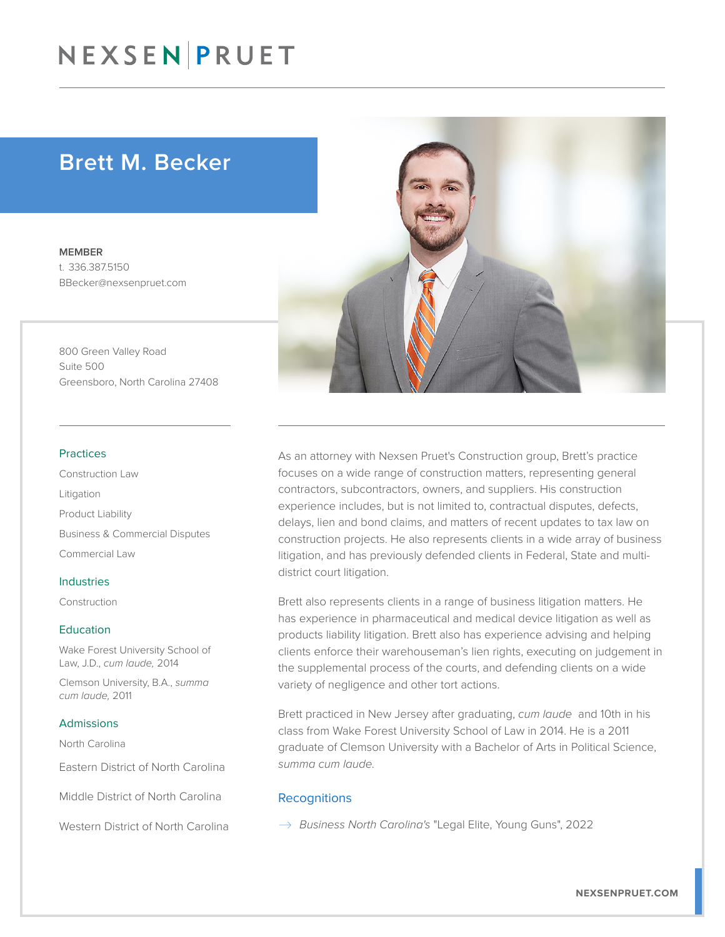# NEXSEN PRUET

## Brett M. Becker

MEMBER t. 336.387.5150 BBecker@nexsenpruet.com

800 Green Valley Road Suite 500 Greensboro, North Carolina 27408

#### Practices

Construction Law Litigation Product Liability Business & Commercial Disputes Commercial Law

#### Industries

Construction

#### Education

Wake Forest University School of Law, J.D., *cum laude,* 2014

Clemson University, B.A., *summa cum laude,* 2011

### Admissions

North Carolina

Eastern District of North Carolina

Middle District of North Carolina

Western District of North Carolina



Brett also represents clients in a range of business litigation matters. He has experience in pharmaceutical and medical device litigation as well as products liability litigation. Brett also has experience advising and helping clients enforce their warehouseman's lien rights, executing on judgement in the supplemental process of the courts, and defending clients on a wide variety of negligence and other tort actions.

Brett practiced in New Jersey after graduating, *cum laude* and 10th in his class from Wake Forest University School of Law in 2014. He is a 2011 graduate of Clemson University with a Bachelor of Arts in Political Science, *summa cum laude.*

### **Recognitions**

� *Business North Carolina's* "Legal Elite, Young Guns", 2022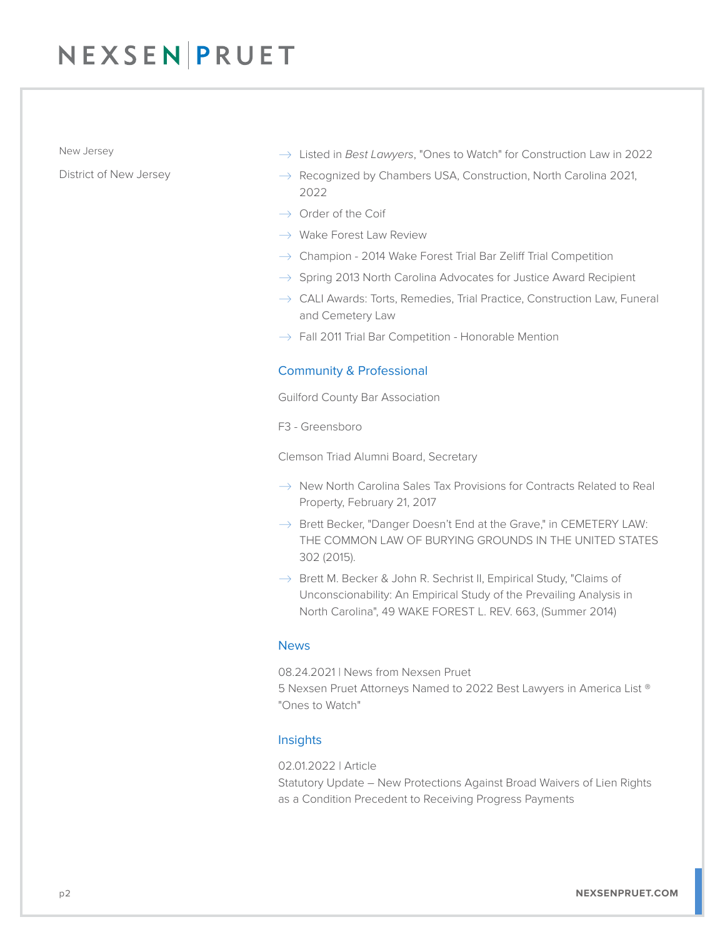# NEXSENPRUET

New Jersey

District of New Jersey

- � Listed in *Best Lawyers*, "Ones to Watch" for Construction Law in 2022
- $\rightarrow$  Recognized by Chambers USA, Construction, North Carolina 2021, 2022
- $\rightarrow$  Order of the Coif
- $\rightarrow$  Wake Forest Law Review
- $\rightarrow$  Champion 2014 Wake Forest Trial Bar Zeliff Trial Competition
- $\rightarrow$  Spring 2013 North Carolina Advocates for Justice Award Recipient
- $\rightarrow$  CALI Awards: Torts, Remedies, Trial Practice, Construction Law, Funeral and Cemetery Law
- $\rightarrow$  Fall 2011 Trial Bar Competition Honorable Mention

### Community & Professional

Guilford County Bar Association

F3 - Greensboro

Clemson Triad Alumni Board, Secretary

- $\rightarrow$  New North Carolina Sales Tax Provisions for Contracts Related to Real Property, February 21, 2017
- $\rightarrow$  Brett Becker, "Danger Doesn't End at the Grave," in CEMETERY LAW: THE COMMON LAW OF BURYING GROUNDS IN THE UNITED STATES 302 (2015).
- $\rightarrow$  Brett M. Becker & John R. Sechrist II, Empirical Study, "Claims of Unconscionability: An Empirical Study of the Prevailing Analysis in North Carolina", 49 WAKE FOREST L. REV. 663, (Summer 2014)

### News

08.24.2021 | News from Nexsen Pruet 5 Nexsen Pruet Attorneys Named to 2022 Best Lawyers in America List ® "Ones to Watch"

### **Insights**

02.01.2022 | Article Statutory Update – New Protections Against Broad Waivers of Lien Rights as a Condition Precedent to Receiving Progress Payments